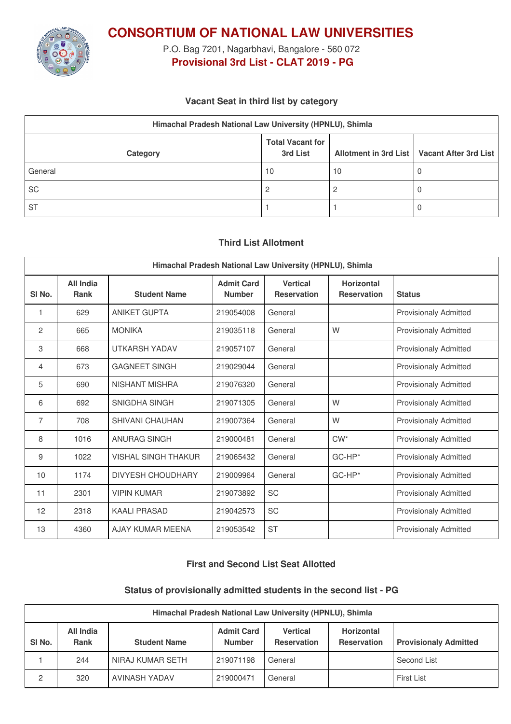

**CONSORTIUM OF NATIONAL LAW UNIVERSITIES**

P.O. Bag 7201, Nagarbhavi, Bangalore - 560 072 **Provisional 3rd List - CLAT 2019 - PG**

# **Vacant Seat in third list by category**

| Himachal Pradesh National Law University (HPNLU), Shimla |                                     |    |                                               |  |  |
|----------------------------------------------------------|-------------------------------------|----|-----------------------------------------------|--|--|
| Category                                                 | <b>Total Vacant for</b><br>3rd List |    | Allotment in 3rd List   Vacant After 3rd List |  |  |
| General                                                  | 10                                  | 10 |                                               |  |  |
| SC                                                       |                                     |    |                                               |  |  |
| <b>ST</b>                                                |                                     |    |                                               |  |  |

## **Third List Allotment**

| Himachal Pradesh National Law University (HPNLU), Shimla |                          |                            |                                    |                                       |                                         |                              |
|----------------------------------------------------------|--------------------------|----------------------------|------------------------------------|---------------------------------------|-----------------------------------------|------------------------------|
| SI <sub>No.</sub>                                        | All India<br><b>Rank</b> | <b>Student Name</b>        | <b>Admit Card</b><br><b>Number</b> | <b>Vertical</b><br><b>Reservation</b> | <b>Horizontal</b><br><b>Reservation</b> | <b>Status</b>                |
| 1                                                        | 629                      | <b>ANIKET GUPTA</b>        | 219054008                          | General                               |                                         | Provisionaly Admitted        |
| 2                                                        | 665                      | <b>MONIKA</b>              | 219035118                          | General                               | W                                       | <b>Provisionaly Admitted</b> |
| 3                                                        | 668                      | <b>UTKARSH YADAV</b>       | 219057107                          | General                               |                                         | <b>Provisionaly Admitted</b> |
| $\overline{4}$                                           | 673                      | <b>GAGNEET SINGH</b>       | 219029044                          | General                               |                                         | <b>Provisionaly Admitted</b> |
| 5                                                        | 690                      | <b>NISHANT MISHRA</b>      | 219076320                          | General                               |                                         | <b>Provisionaly Admitted</b> |
| 6                                                        | 692                      | SNIGDHA SINGH              | 219071305                          | General                               | W                                       | <b>Provisionaly Admitted</b> |
| 7                                                        | 708                      | <b>SHIVANI CHAUHAN</b>     | 219007364                          | General                               | W                                       | <b>Provisionaly Admitted</b> |
| 8                                                        | 1016                     | ANURAG SINGH               | 219000481                          | General                               | $CW^*$                                  | <b>Provisionaly Admitted</b> |
| 9                                                        | 1022                     | <b>VISHAL SINGH THAKUR</b> | 219065432                          | General                               | GC-HP*                                  | <b>Provisionaly Admitted</b> |
| 10                                                       | 1174                     | <b>DIVYESH CHOUDHARY</b>   | 219009964                          | General                               | GC-HP*                                  | <b>Provisionaly Admitted</b> |
| 11                                                       | 2301                     | <b>VIPIN KUMAR</b>         | 219073892                          | SC                                    |                                         | <b>Provisionaly Admitted</b> |
| 12                                                       | 2318                     | <b>KAALI PRASAD</b>        | 219042573                          | <b>SC</b>                             |                                         | <b>Provisionaly Admitted</b> |
| 13                                                       | 4360                     | AJAY KUMAR MEENA           | 219053542                          | <b>ST</b>                             |                                         | <b>Provisionaly Admitted</b> |

# **First and Second List Seat Allotted**

#### **Status of provisionally admitted students in the second list - PG**

| Himachal Pradesh National Law University (HPNLU), Shimla |                          |                     |                                    |                                |                                  |                              |
|----------------------------------------------------------|--------------------------|---------------------|------------------------------------|--------------------------------|----------------------------------|------------------------------|
| SI <sub>No.</sub>                                        | All India<br><b>Rank</b> | <b>Student Name</b> | <b>Admit Card</b><br><b>Number</b> | Vertical<br><b>Reservation</b> | Horizontal<br><b>Reservation</b> | <b>Provisionaly Admitted</b> |
|                                                          | 244                      | NIRAJ KUMAR SETH    | 219071198                          | General                        |                                  | Second List                  |
| 2                                                        | 320                      | AVINASH YADAV       | 219000471                          | General                        |                                  | <b>First List</b>            |